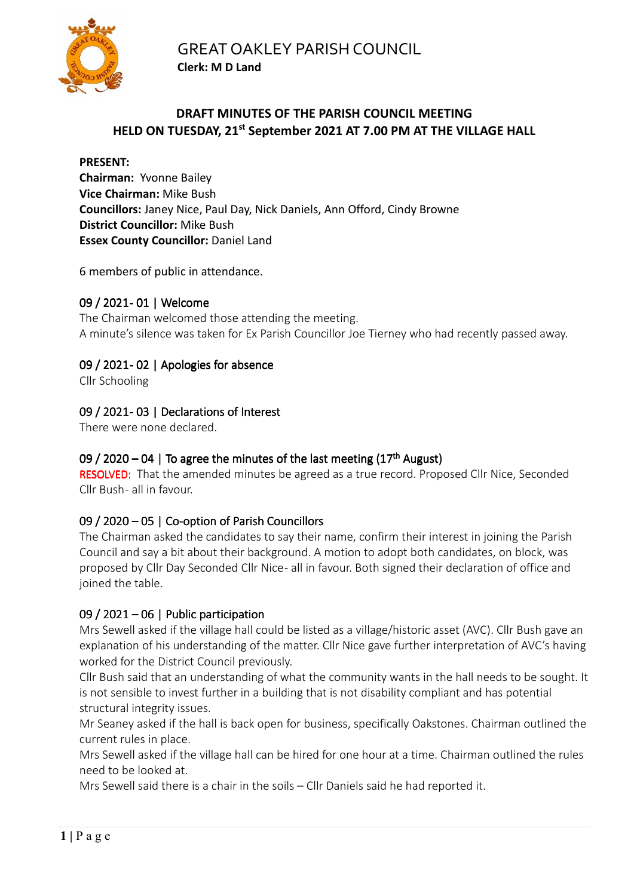

# **DRAFT MINUTES OF THE PARISH COUNCIL MEETING HELD ON TUESDAY, 21st September 2021 AT 7.00 PM AT THE VILLAGE HALL**

**PRESENT: Chairman:** Yvonne Bailey **Vice Chairman:** Mike Bush **Councillors:** Janey Nice, Paul Day, Nick Daniels, Ann Offord, Cindy Browne **District Councillor:** Mike Bush **Essex County Councillor:** Daniel Land

6 members of public in attendance.

## 09 / 2021- 01 | Welcome

The Chairman welcomed those attending the meeting. A minute's silence was taken for Ex Parish Councillor Joe Tierney who had recently passed away.

## 09 / 2021-02 | Apologies for absence

Cllr Schooling

## 09 / 2021-03 | Declarations of Interest

There were none declared.

## 09 / 2020 – 04 | To agree the minutes of the last meeting  $(17<sup>th</sup>$  August)

RESOLVED: That the amended minutes be agreed as a true record. Proposed Cllr Nice, Seconded Cllr Bush- all in favour.

## 09 / 2020 – 05 | Co-option of Parish Councillors

The Chairman asked the candidates to say their name, confirm their interest in joining the Parish Council and say a bit about their background. A motion to adopt both candidates, on block, was proposed by Cllr Day Seconded Cllr Nice - all in favour. Both signed their declaration of office and joined the table.

## 09 / 2021 – 06 | Public participation

Mrs Sewell asked if the village hall could be listed as a village/historic asset (AVC). Cllr Bush gave an explanation of his understanding of the matter. Cllr Nice gave further interpretation of AVC's having worked for the District Council previously.

Cllr Bush said that an understanding of what the community wants in the hall needs to be sought. It is not sensible to invest further in a building that is not disability compliant and has potential structural integrity issues.

Mr Seaney asked if the hall is back open for business, specifically Oakstones. Chairman outlined the current rules in place.

Mrs Sewell asked if the village hall can be hired for one hour at a time. Chairman outlined the rules need to be looked at.

Mrs Sewell said there is a chair in the soils – Cllr Daniels said he had reported it.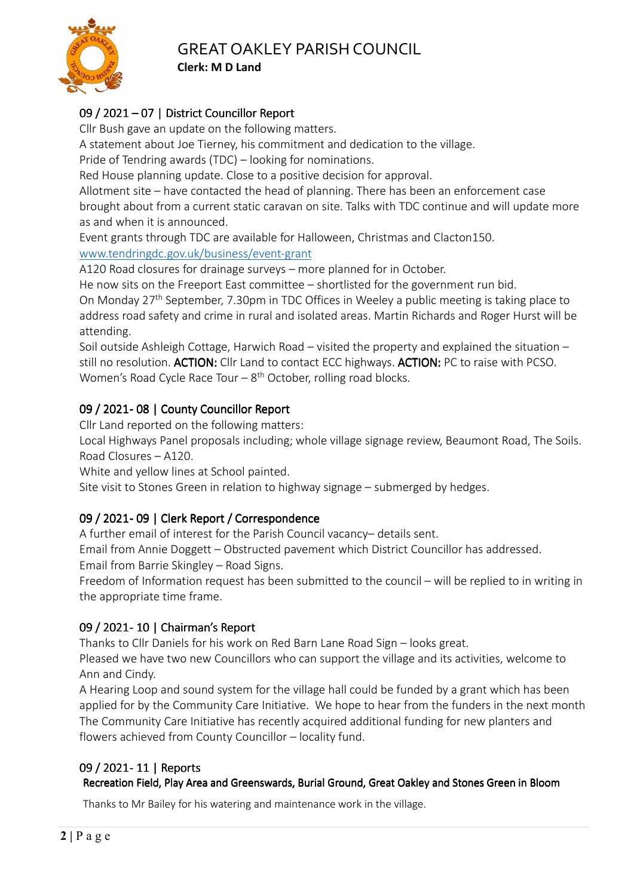

# 09 / 2021 – 07 | District Councillor Report

Cllr Bush gave an update on the following matters.

A statement about Joe Tierney, his commitment and dedication to the village.

Pride of Tendring awards (TDC) – looking for nominations.

Red House planning update. Close to a positive decision for approval.

Allotment site – have contacted the head of planning. There has been an enforcement case brought about from a current static caravan on site. Talks with TDC continue and will update more as and when it is announced.

Event grants through TDC are available for Halloween, Christmas and Clacton150. www.tendringdc.gov.uk/business/event-grant

A120 Road closures for drainage surveys – more planned for in October.

He now sits on the Freeport East committee – shortlisted for the government run bid.

On Monday 27th September, 7.30pm in TDC Offices in Weeley a public meeting is taking place to address road safety and crime in rural and isolated areas. Martin Richards and Roger Hurst will be attending.

Soil outside Ashleigh Cottage, Harwich Road – visited the property and explained the situation – still no resolution. ACTION: Cllr Land to contact ECC highways. ACTION: PC to raise with PCSO. Women's Road Cycle Race Tour  $-8$ <sup>th</sup> October, rolling road blocks.

# 09 / 2021-08 | County Councillor Report

Cllr Land reported on the following matters:

Local Highways Panel proposals including; whole village signage review, Beaumont Road, The Soils. Road Closures – A120.

White and yellow lines at School painted.

Site visit to Stones Green in relation to highway signage – submerged by hedges.

# 09 / 2021 - 09 | Clerk Report / Correspondence

A further email of interest for the Parish Council vacancy– details sent.

Email from Annie Doggett – Obstructed pavement which District Councillor has addressed.

Email from Barrie Skingley – Road Signs.

Freedom of Information request has been submitted to the council – will be replied to in writing in the appropriate time frame.

# 09 / 2021 - 10 | Chairman's Report

Thanks to Cllr Daniels for his work on Red Barn Lane Road Sign – looks great.

Pleased we have two new Councillors who can support the village and its activities, welcome to Ann and Cindy.

A Hearing Loop and sound system for the village hall could be funded by a grant which has been applied for by the Community Care Initiative. We hope to hear from the funders in the next month The Community Care Initiative has recently acquired additional funding for new planters and flowers achieved from County Councillor – locality fund.

# 09 / 2021 - 11 | Reports

## Recreation Field, Play Area and Greenswards, Burial Ground, Great Oakley and Stones Green in Bloom

Thanks to Mr Bailey for his watering and maintenance work in the village.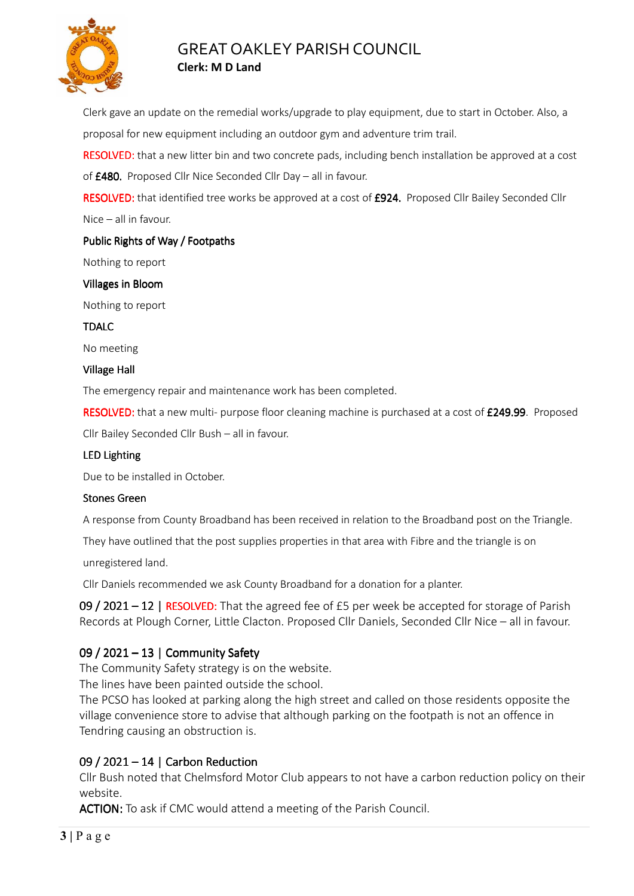

Clerk gave an update on the remedial works/upgrade to play equipment, due to start in October. Also, a proposal for new equipment including an outdoor gym and adventure trim trail.

RESOLVED: that a new litter bin and two concrete pads, including bench installation be approved at a cost of £480. Proposed Cllr Nice Seconded Cllr Day – all in favour.

RESOLVED: that identified tree works be approved at a cost of £924. Proposed Cllr Bailey Seconded Cllr Nice – all in favour.

#### Public Rights of Way / Footpaths

Nothing to report

#### Villages in Bloom

Nothing to report

TDALC

No meeting

#### **Village Hall**

The emergency repair and maintenance work has been completed.

RESOLVED: that a new multi- purpose floor cleaning machine is purchased at a cost of £249.99. Proposed

Cllr Bailey Seconded Cllr Bush – all in favour.

#### LED Lighting

Due to be installed in October.

#### Stones Green

A response from County Broadband has been received in relation to the Broadband post on the Triangle.

They have outlined that the post supplies properties in that area with Fibre and the triangle is on

unregistered land.

Cllr Daniels recommended we ask County Broadband for a donation for a planter.

09 / 2021 – 12 | RESOLVED: That the agreed fee of £5 per week be accepted for storage of Parish Records at Plough Corner, Little Clacton. Proposed Cllr Daniels, Seconded Cllr Nice – all in favour.

## 09 / 2021 – 13 | Community Safety

The Community Safety strategy is on the website.

The lines have been painted outside the school.

The PCSO has looked at parking along the high street and called on those residents opposite the village convenience store to advise that although parking on the footpath is not an offence in Tendring causing an obstruction is.

## 09 / 2021 – 14 | Carbon Reduction

Cllr Bush noted that Chelmsford Motor Club appears to not have a carbon reduction policy on their website.

ACTION: To ask if CMC would attend a meeting of the Parish Council.